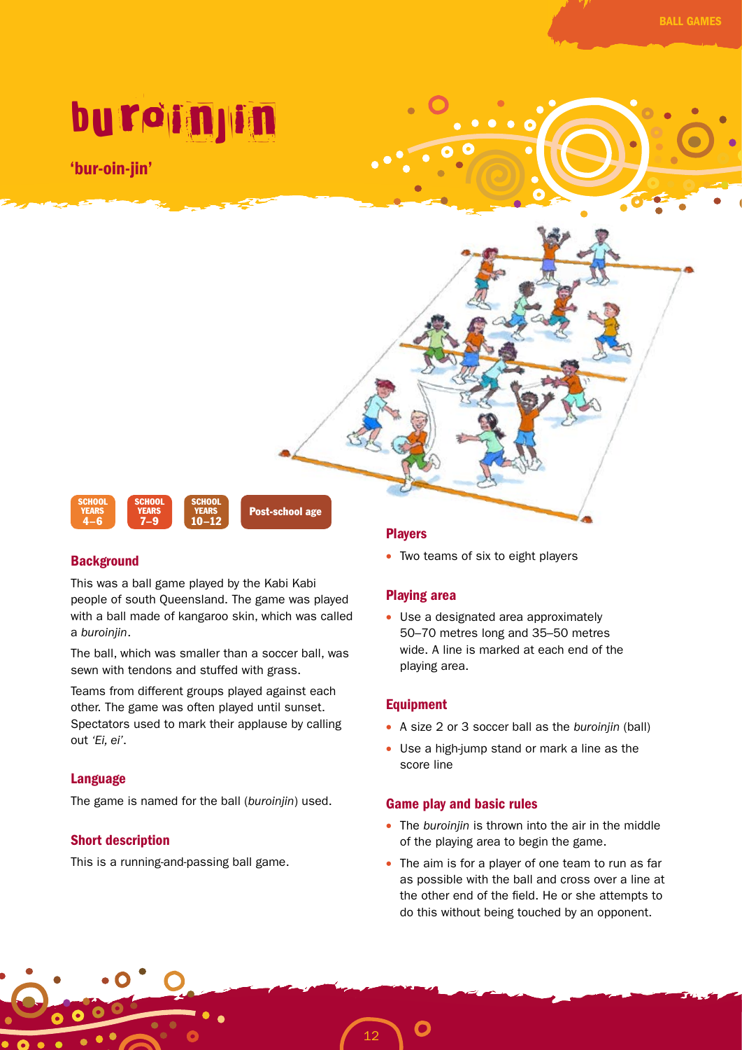# buroinjin

'bur-oin-jin'



# **Background**

This was a ball game played by the Kabi Kabi people of south Queensland. The game was played with a ball made of kangaroo skin, which was called a *buroinjin*.

The ball, which was smaller than a soccer ball, was sewn with tendons and stuffed with grass.

Teams from different groups played against each other. The game was often played until sunset. Spectators used to mark their applause by calling out *'Ei, ei'*.

## Language

The game is named for the ball (*buroinjin*) used.

# Short description

This is a running-and-passing ball game.

## Players

• Two teams of six to eight players

# Playing area

• Use a designated area approximately 50–70 metres long and 35–50 metres wide. A line is marked at each end of the playing area.

# Equipment

- A size 2 or 3 soccer ball as the *buroinjin* (ball)
- Use a high-jump stand or mark a line as the score line

## Game play and basic rules

- The *buroinjin* is thrown into the air in the middle of the playing area to begin the game.
- The aim is for a player of one team to run as far as possible with the ball and cross over a line at the other end of the field. He or she attempts to do this without being touched by an opponent.

12

 $\bullet$